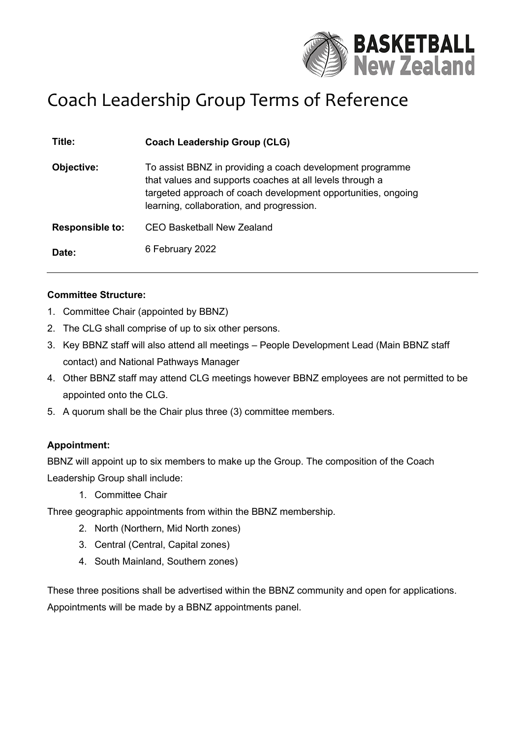

# Coach Leadership Group Terms of Reference

| Title:                 | <b>Coach Leadership Group (CLG)</b>                                                                                                                                                                                                 |
|------------------------|-------------------------------------------------------------------------------------------------------------------------------------------------------------------------------------------------------------------------------------|
| Objective:             | To assist BBNZ in providing a coach development programme<br>that values and supports coaches at all levels through a<br>targeted approach of coach development opportunities, ongoing<br>learning, collaboration, and progression. |
| <b>Responsible to:</b> | <b>CEO Basketball New Zealand</b>                                                                                                                                                                                                   |
| Date:                  | 6 February 2022                                                                                                                                                                                                                     |

#### **Committee Structure:**

- 1. Committee Chair (appointed by BBNZ)
- 2. The CLG shall comprise of up to six other persons.
- 3. Key BBNZ staff will also attend all meetings People Development Lead (Main BBNZ staff contact) and National Pathways Manager
- 4. Other BBNZ staff may attend CLG meetings however BBNZ employees are not permitted to be appointed onto the CLG.
- 5. A quorum shall be the Chair plus three (3) committee members.

### **Appointment:**

BBNZ will appoint up to six members to make up the Group. The composition of the Coach Leadership Group shall include:

1. Committee Chair

Three geographic appointments from within the BBNZ membership.

- 2. North (Northern, Mid North zones)
- 3. Central (Central, Capital zones)
- 4. South Mainland, Southern zones)

These three positions shall be advertised within the BBNZ community and open for applications. Appointments will be made by a BBNZ appointments panel.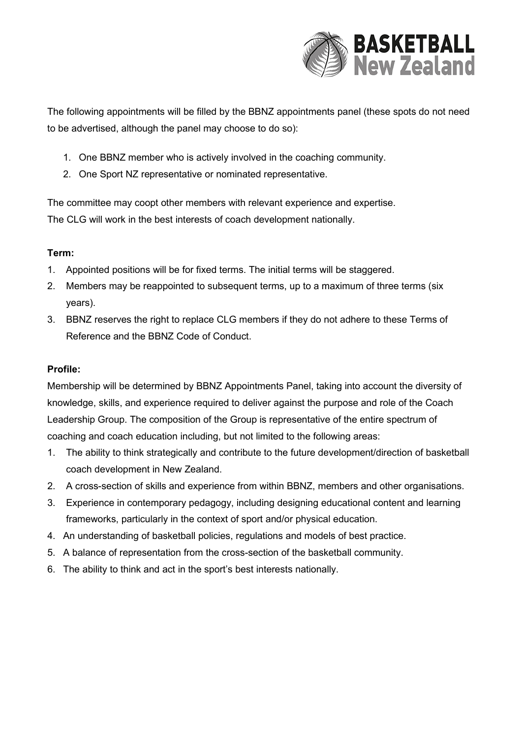

The following appointments will be filled by the BBNZ appointments panel (these spots do not need to be advertised, although the panel may choose to do so):

- 1. One BBNZ member who is actively involved in the coaching community.
- 2. One Sport NZ representative or nominated representative.

The committee may coopt other members with relevant experience and expertise. The CLG will work in the best interests of coach development nationally.

## **Term:**

- 1. Appointed positions will be for fixed terms. The initial terms will be staggered.
- 2. Members may be reappointed to subsequent terms, up to a maximum of three terms (six years).
- 3. BBNZ reserves the right to replace CLG members if they do not adhere to these Terms of Reference and the BBNZ Code of Conduct.

## **Profile:**

Membership will be determined by BBNZ Appointments Panel, taking into account the diversity of knowledge, skills, and experience required to deliver against the purpose and role of the Coach Leadership Group. The composition of the Group is representative of the entire spectrum of coaching and coach education including, but not limited to the following areas:

- 1. The ability to think strategically and contribute to the future development/direction of basketball coach development in New Zealand.
- 2. A cross-section of skills and experience from within BBNZ, members and other organisations.
- 3. Experience in contemporary pedagogy, including designing educational content and learning frameworks, particularly in the context of sport and/or physical education.
- 4. An understanding of basketball policies, regulations and models of best practice.
- 5. A balance of representation from the cross-section of the basketball community.
- 6. The ability to think and act in the sport's best interests nationally.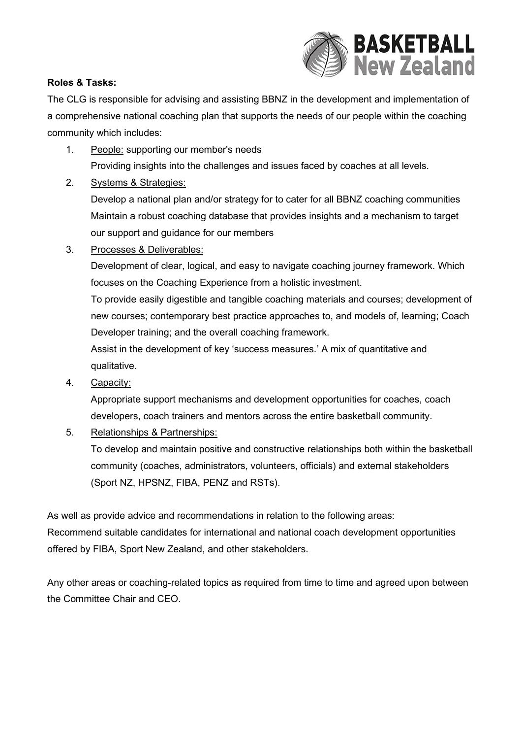

## **Roles & Tasks:**

The CLG is responsible for advising and assisting BBNZ in the development and implementation of a comprehensive national coaching plan that supports the needs of our people within the coaching community which includes:

- 1. People: supporting our member's needs Providing insights into the challenges and issues faced by coaches at all levels.
- 2. Systems & Strategies:

Develop a national plan and/or strategy for to cater for all BBNZ coaching communities Maintain a robust coaching database that provides insights and a mechanism to target our support and guidance for our members

3. Processes & Deliverables:

Development of clear, logical, and easy to navigate coaching journey framework. Which focuses on the Coaching Experience from a holistic investment.

To provide easily digestible and tangible coaching materials and courses; development of new courses; contemporary best practice approaches to, and models of, learning; Coach Developer training; and the overall coaching framework.

Assist in the development of key 'success measures.' A mix of quantitative and qualitative.

4. Capacity:

Appropriate support mechanisms and development opportunities for coaches, coach developers, coach trainers and mentors across the entire basketball community.

5. Relationships & Partnerships:

To develop and maintain positive and constructive relationships both within the basketball community (coaches, administrators, volunteers, officials) and external stakeholders (Sport NZ, HPSNZ, FIBA, PENZ and RSTs).

As well as provide advice and recommendations in relation to the following areas: Recommend suitable candidates for international and national coach development opportunities offered by FIBA, Sport New Zealand, and other stakeholders.

Any other areas or coaching-related topics as required from time to time and agreed upon between the Committee Chair and CEO.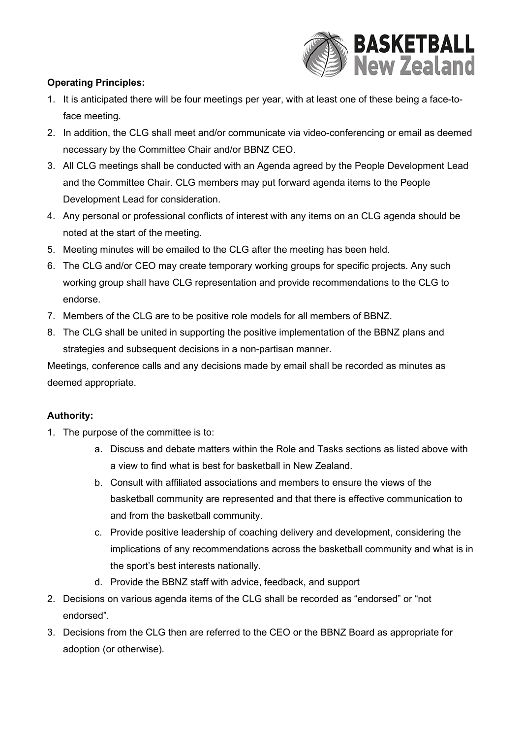

## **Operating Principles:**

- 1. It is anticipated there will be four meetings per year, with at least one of these being a face-toface meeting.
- 2. In addition, the CLG shall meet and/or communicate via video-conferencing or email as deemed necessary by the Committee Chair and/or BBNZ CEO.
- 3. All CLG meetings shall be conducted with an Agenda agreed by the People Development Lead and the Committee Chair. CLG members may put forward agenda items to the People Development Lead for consideration.
- 4. Any personal or professional conflicts of interest with any items on an CLG agenda should be noted at the start of the meeting.
- 5. Meeting minutes will be emailed to the CLG after the meeting has been held.
- 6. The CLG and/or CEO may create temporary working groups for specific projects. Any such working group shall have CLG representation and provide recommendations to the CLG to endorse.
- 7. Members of the CLG are to be positive role models for all members of BBNZ.
- 8. The CLG shall be united in supporting the positive implementation of the BBNZ plans and strategies and subsequent decisions in a non-partisan manner.

Meetings, conference calls and any decisions made by email shall be recorded as minutes as deemed appropriate.

## **Authority:**

- 1. The purpose of the committee is to:
	- a. Discuss and debate matters within the Role and Tasks sections as listed above with a view to find what is best for basketball in New Zealand.
	- b. Consult with affiliated associations and members to ensure the views of the basketball community are represented and that there is effective communication to and from the basketball community.
	- c. Provide positive leadership of coaching delivery and development, considering the implications of any recommendations across the basketball community and what is in the sport's best interests nationally.
	- d. Provide the BBNZ staff with advice, feedback, and support
- 2. Decisions on various agenda items of the CLG shall be recorded as "endorsed" or "not endorsed".
- 3. Decisions from the CLG then are referred to the CEO or the BBNZ Board as appropriate for adoption (or otherwise).